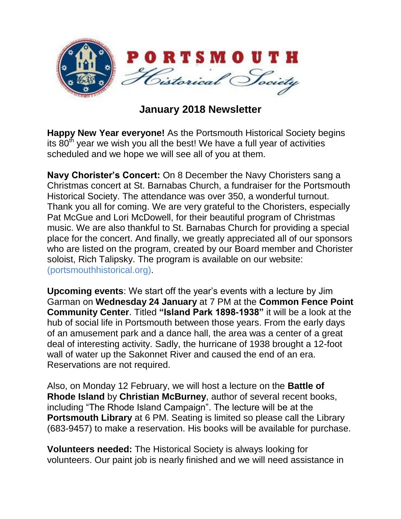

## **January 2018 Newsletter**

**Happy New Year everyone!** As the Portsmouth Historical Society begins its  $80<sup>th</sup>$  year we wish you all the best! We have a full year of activities scheduled and we hope we will see all of you at them.

**Navy Chorister's Concert:** On 8 December the Navy Choristers sang a Christmas concert at St. Barnabas Church, a fundraiser for the Portsmouth Historical Society. The attendance was over 350, a wonderful turnout. Thank you all for coming. We are very grateful to the Choristers, especially Pat McGue and Lori McDowell, for their beautiful program of Christmas music. We are also thankful to St. Barnabas Church for providing a special place for the concert. And finally, we greatly appreciated all of our sponsors who are listed on the program, created by our Board member and Chorister soloist, Rich Talipsky. The program is available on our website: (portsmouthhistorical.org).

**Upcoming events**: We start off the year's events with a lecture by Jim Garman on **Wednesday 24 January** at 7 PM at the **Common Fence Point Community Center**. Titled **"Island Park 1898-1938"** it will be a look at the hub of social life in Portsmouth between those years. From the early days of an amusement park and a dance hall, the area was a center of a great deal of interesting activity. Sadly, the hurricane of 1938 brought a 12-foot wall of water up the Sakonnet River and caused the end of an era. Reservations are not required.

Also, on Monday 12 February, we will host a lecture on the **Battle of Rhode Island** by **Christian McBurney**, author of several recent books, including "The Rhode Island Campaign". The lecture will be at the **Portsmouth Library** at 6 PM. Seating is limited so please call the Library (683-9457) to make a reservation. His books will be available for purchase.

**Volunteers needed:** The Historical Society is always looking for volunteers. Our paint job is nearly finished and we will need assistance in